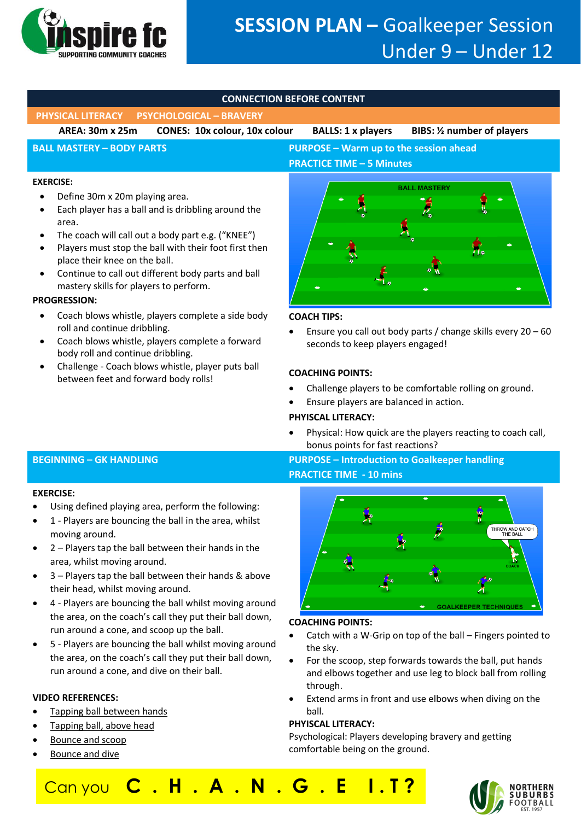

# **SESSION PLAN –** Goalkeeper Session Under 9 – Under 12

# **CONNECTION BEFORE CONTENT**

**PHYSICAL LITERACY PSYCHOLOGICAL – BRAVERY** 

**AREA: 30m x 25m CONES: 10x colour, 10x colour BALLS: 1 x players BIBS: ½ number of players**

# **BALL MASTERY – BODY PARTS PURPOSE – Warm up to the session ahead PRACTICE TIME – 5 Minutes**

## **EXERCISE:**

- Define 30m x 20m playing area.
- Each player has a ball and is dribbling around the area.
- The coach will call out a body part e.g. ("KNEE")
- Players must stop the ball with their foot first then place their knee on the ball.
- Continue to call out different body parts and ball mastery skills for players to perform.

# **PROGRESSION:**

- Coach blows whistle, players complete a side body roll and continue dribbling.
- Coach blows whistle, players complete a forward body roll and continue dribbling.
- Challenge Coach blows whistle, player puts ball between feet and forward body rolls!



# **COACH TIPS:**

• Ensure you call out body parts / change skills every 20 – 60 seconds to keep players engaged!

# **COACHING POINTS:**

- Challenge players to be comfortable rolling on ground.
- Ensure players are balanced in action.

# **PHYISCAL LITERACY:**

• Physical: How quick are the players reacting to coach call, bonus points for fast reactions?

# **BEGINNING – GK HANDLING PURPOSE – Introduction to Goalkeeper handling PRACTICE TIME - 10 mins**



# **COACHING POINTS:**

- Catch with a W-Grip on top of the ball Fingers pointed to the sky.
- For the scoop, step forwards towards the ball, put hands and elbows together and use leg to block ball from rolling through.
- Extend arms in front and use elbows when diving on the ball.

# **PHYISCAL LITERACY:**

Psychological: Players developing bravery and getting comfortable being on the ground.

Can you **C . H . A . N . G . E I . T ?**



## **EXERCISE:**

- Using defined playing area, perform the following:
- 1 Players are bouncing the ball in the area, whilst moving around.
- $2$  Players tap the ball between their hands in the area, whilst moving around.
- 3 Players tap the ball between their hands & above their head, whilst moving around.
- 4 Players are bouncing the ball whilst moving around the area, on the coach's call they put their ball down, run around a cone, and scoop up the ball.
- 5 Players are bouncing the ball whilst moving around the area, on the coach's call they put their ball down, run around a cone, and dive on their ball.

# **VIDEO REFERENCES:**

- [Tapping ball between hands](https://www.youtube.com/watch?v=tbDyQ6e_svI&feature=youtu.be)
- [Tapping ball, above head](https://www.youtube.com/watch?v=5ufRdFeqbXU&feature=youtu.be)
- [Bounce and scoop](https://www.youtube.com/watch?v=Jd7g4a8q3eA&feature=youtu.be)
- [Bounce and dive](https://www.youtube.com/watch?v=OoIVoVwQLo8&feature=youtu.be)